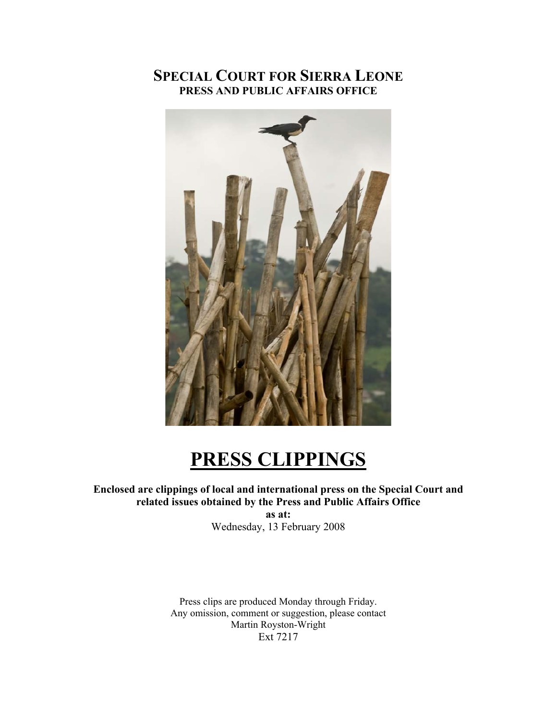# **SPECIAL COURT FOR SIERRA LEONE PRESS AND PUBLIC AFFAIRS OFFICE**



# **PRESS CLIPPINGS**

## **Enclosed are clippings of local and international press on the Special Court and related issues obtained by the Press and Public Affairs Office**

**as at:**  Wednesday, 13 February 2008

Press clips are produced Monday through Friday. Any omission, comment or suggestion, please contact Martin Royston-Wright Ext 7217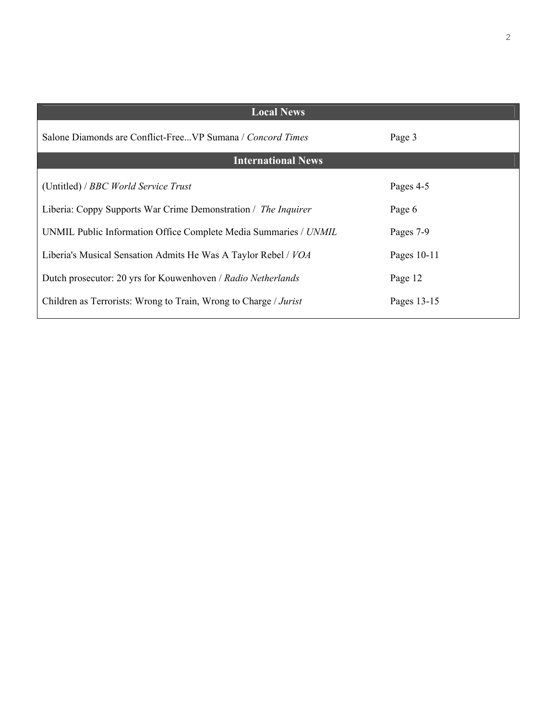| <b>Local News</b>                                                 |             |
|-------------------------------------------------------------------|-------------|
| Salone Diamonds are Conflict-FreeVP Sumana / <i>Concord Times</i> | Page 3      |
| <b>International News</b>                                         |             |
| (Untitled) / BBC World Service Trust                              | Pages 4-5   |
| Liberia: Coppy Supports War Crime Demonstration / The Inquirer    | Page 6      |
| UNMIL Public Information Office Complete Media Summaries / UNMIL  | Pages 7-9   |
| Liberia's Musical Sensation Admits He Was A Taylor Rebel / VOA    | Pages 10-11 |
| Dutch prosecutor: 20 yrs for Kouwenhoven / Radio Netherlands      | Page 12     |
| Children as Terrorists: Wrong to Train, Wrong to Charge / Jurist  | Pages 13-15 |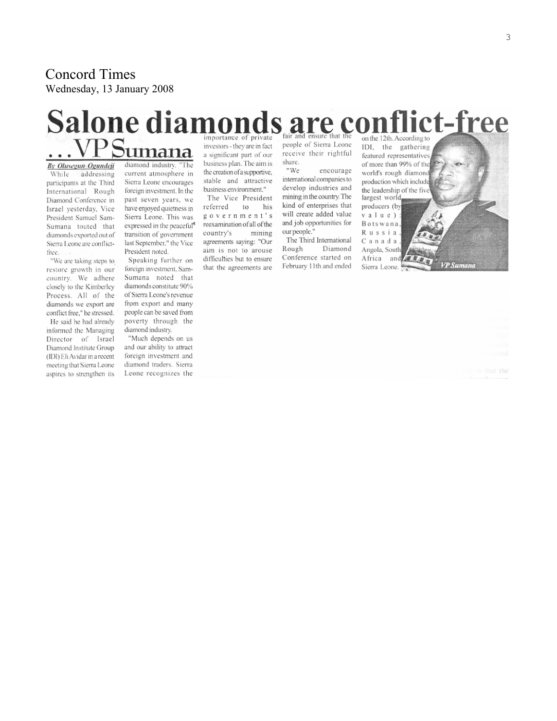Concord Times Wednesday, 13 January 2008

## Salone diamonds are conflict-free importance of private on the 12th. According to <u>VPSumana</u>

By Olusegun Ogundeji addressing While. participants at the Third International Rough Diamond Conference in Israel yesterday, Vice President Samuel Sam-Sumana touted that diamonds exported out of Sierra Leone are conflictfree.

"We are taking steps to restore growth in our country. We adhere closely to the Kimberley Process. All of the diamonds we export are conflict free." he stressed. He said he had already informed the Managing Director of Israel

Diamond Institute Group (IDI) Eli Avidar in a recent meeting that Sierra Leone aspires to strengthen its

diamond industry. "The current atmosphere in Sierra Leone encourages foreign investment. In the past seven years, we have enjoyed quietness in Sierra Leone. This was expressed in the peaceful<sup>®</sup> transition of government last September." the Vice President noted.

Speaking further on foreign investment, Sam-Sumana noted that diamonds constitute 90% of Sierra Leone's revenue from export and many people can be saved from poverty through the diamond industry.

"Much depends on us and our ability to attract foreign investment and diamond traders. Sierra Leone recognizes the

investors - they are in fact a significant part of our business plan. The aim is the creation of a supportive, stable and attractive business environment."

The Vice President referred to his government's reexamination of all of the country's mining agreements saying: "Our aim is not to arouse difficulties but to ensure that the agreements are people of Sierra Leone receive their rightful share. "We encourage

international companies to develop industries and mining in the country. The kind of enterprises that will create added value and job opportunities for our people." The Third International

Rough Diamond Conference started on February 11th and ended largest world, producers (by value) Botswana, Russia Canada Angola, South Africa and

IDI, the gathering featured representatives of more than 99% of the world's rough diamond production which include the leadership of the five **P** Sumano Sierra Leone.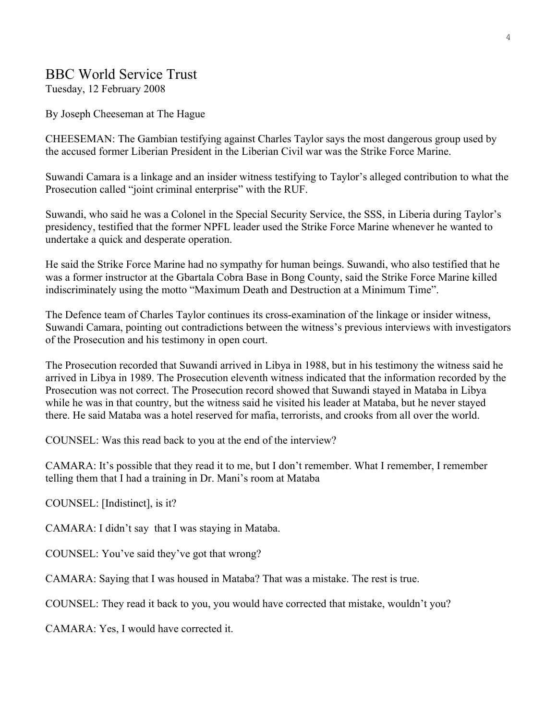## BBC World Service Trust

Tuesday, 12 February 2008

By Joseph Cheeseman at The Hague

CHEESEMAN: The Gambian testifying against Charles Taylor says the most dangerous group used by the accused former Liberian President in the Liberian Civil war was the Strike Force Marine.

Suwandi Camara is a linkage and an insider witness testifying to Taylor's alleged contribution to what the Prosecution called "joint criminal enterprise" with the RUF.

Suwandi, who said he was a Colonel in the Special Security Service, the SSS, in Liberia during Taylor's presidency, testified that the former NPFL leader used the Strike Force Marine whenever he wanted to undertake a quick and desperate operation.

He said the Strike Force Marine had no sympathy for human beings. Suwandi, who also testified that he was a former instructor at the Gbartala Cobra Base in Bong County, said the Strike Force Marine killed indiscriminately using the motto "Maximum Death and Destruction at a Minimum Time".

The Defence team of Charles Taylor continues its cross-examination of the linkage or insider witness, Suwandi Camara, pointing out contradictions between the witness's previous interviews with investigators of the Prosecution and his testimony in open court.

The Prosecution recorded that Suwandi arrived in Libya in 1988, but in his testimony the witness said he arrived in Libya in 1989. The Prosecution eleventh witness indicated that the information recorded by the Prosecution was not correct. The Prosecution record showed that Suwandi stayed in Mataba in Libya while he was in that country, but the witness said he visited his leader at Mataba, but he never stayed there. He said Mataba was a hotel reserved for mafia, terrorists, and crooks from all over the world.

COUNSEL: Was this read back to you at the end of the interview?

CAMARA: It's possible that they read it to me, but I don't remember. What I remember, I remember telling them that I had a training in Dr. Mani's room at Mataba

COUNSEL: [Indistinct], is it?

CAMARA: I didn't say that I was staying in Mataba.

COUNSEL: You've said they've got that wrong?

CAMARA: Saying that I was housed in Mataba? That was a mistake. The rest is true.

COUNSEL: They read it back to you, you would have corrected that mistake, wouldn't you?

CAMARA: Yes, I would have corrected it.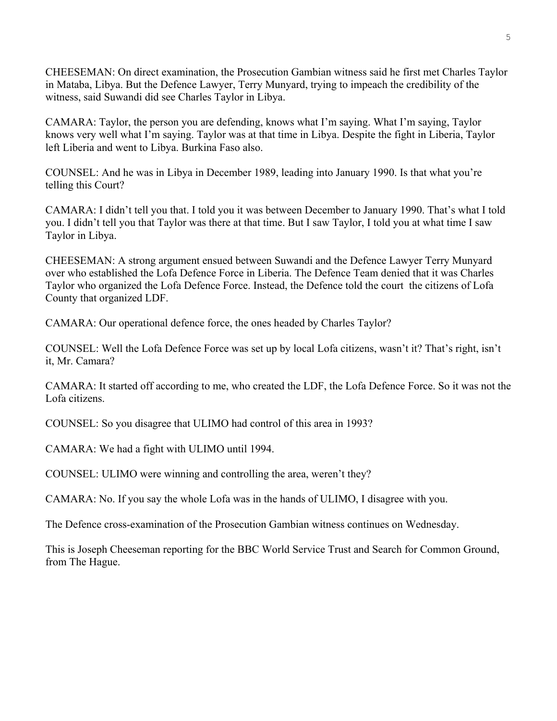CHEESEMAN: On direct examination, the Prosecution Gambian witness said he first met Charles Taylor in Mataba, Libya. But the Defence Lawyer, Terry Munyard, trying to impeach the credibility of the witness, said Suwandi did see Charles Taylor in Libya.

CAMARA: Taylor, the person you are defending, knows what I'm saying. What I'm saying, Taylor knows very well what I'm saying. Taylor was at that time in Libya. Despite the fight in Liberia, Taylor left Liberia and went to Libya. Burkina Faso also.

COUNSEL: And he was in Libya in December 1989, leading into January 1990. Is that what you're telling this Court?

CAMARA: I didn't tell you that. I told you it was between December to January 1990. That's what I told you. I didn't tell you that Taylor was there at that time. But I saw Taylor, I told you at what time I saw Taylor in Libya.

CHEESEMAN: A strong argument ensued between Suwandi and the Defence Lawyer Terry Munyard over who established the Lofa Defence Force in Liberia. The Defence Team denied that it was Charles Taylor who organized the Lofa Defence Force. Instead, the Defence told the court the citizens of Lofa County that organized LDF.

CAMARA: Our operational defence force, the ones headed by Charles Taylor?

COUNSEL: Well the Lofa Defence Force was set up by local Lofa citizens, wasn't it? That's right, isn't it, Mr. Camara?

CAMARA: It started off according to me, who created the LDF, the Lofa Defence Force. So it was not the Lofa citizens.

COUNSEL: So you disagree that ULIMO had control of this area in 1993?

CAMARA: We had a fight with ULIMO until 1994.

COUNSEL: ULIMO were winning and controlling the area, weren't they?

CAMARA: No. If you say the whole Lofa was in the hands of ULIMO, I disagree with you.

The Defence cross-examination of the Prosecution Gambian witness continues on Wednesday.

This is Joseph Cheeseman reporting for the BBC World Service Trust and Search for Common Ground, from The Hague.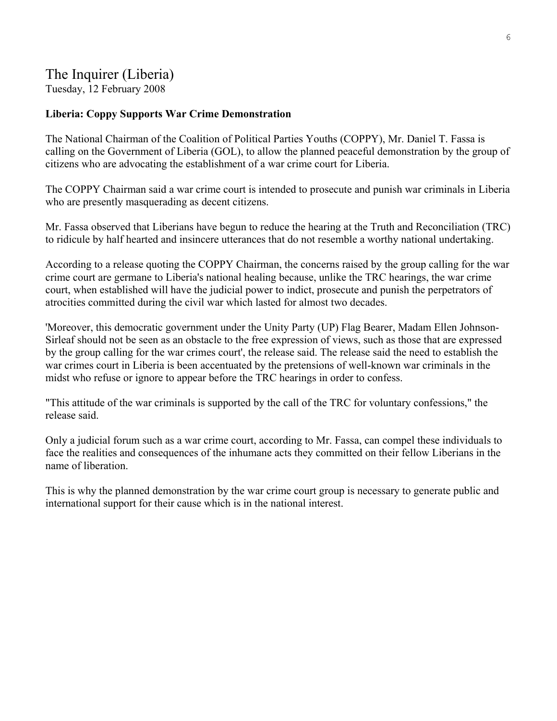## The Inquirer (Liberia)

Tuesday, 12 February 2008

## **Liberia: Coppy Supports War Crime Demonstration**

The National Chairman of the Coalition of Political Parties Youths (COPPY), Mr. Daniel T. Fassa is calling on the Government of Liberia (GOL), to allow the planned peaceful demonstration by the group of citizens who are advocating the establishment of a war crime court for Liberia.

The COPPY Chairman said a war crime court is intended to prosecute and punish war criminals in Liberia who are presently masquerading as decent citizens.

Mr. Fassa observed that Liberians have begun to reduce the hearing at the Truth and Reconciliation (TRC) to ridicule by half hearted and insincere utterances that do not resemble a worthy national undertaking.

According to a release quoting the COPPY Chairman, the concerns raised by the group calling for the war crime court are germane to Liberia's national healing because, unlike the TRC hearings, the war crime court, when established will have the judicial power to indict, prosecute and punish the perpetrators of atrocities committed during the civil war which lasted for almost two decades.

'Moreover, this democratic government under the Unity Party (UP) Flag Bearer, Madam Ellen Johnson-Sirleaf should not be seen as an obstacle to the free expression of views, such as those that are expressed by the group calling for the war crimes court', the release said. The release said the need to establish the war crimes court in Liberia is been accentuated by the pretensions of well-known war criminals in the midst who refuse or ignore to appear before the TRC hearings in order to confess.

"This attitude of the war criminals is supported by the call of the TRC for voluntary confessions," the release said.

Only a judicial forum such as a war crime court, according to Mr. Fassa, can compel these individuals to face the realities and consequences of the inhumane acts they committed on their fellow Liberians in the name of liberation.

This is why the planned demonstration by the war crime court group is necessary to generate public and international support for their cause which is in the national interest.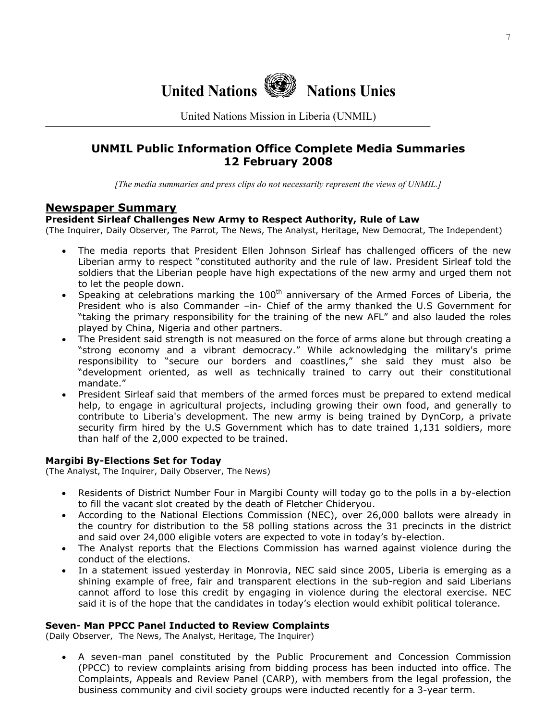

United Nations Mission in Liberia (UNMIL)

## **UNMIL Public Information Office Complete Media Summaries 12 February 2008**

*[The media summaries and press clips do not necessarily represent the views of UNMIL.]*

## **Newspaper Summary**

#### **President Sirleaf Challenges New Army to Respect Authority, Rule of Law**

(The Inquirer, Daily Observer, The Parrot, The News, The Analyst, Heritage, New Democrat, The Independent)

- The media reports that President Ellen Johnson Sirleaf has challenged officers of the new Liberian army to respect "constituted authority and the rule of law. President Sirleaf told the soldiers that the Liberian people have high expectations of the new army and urged them not to let the people down.
- Speaking at celebrations marking the  $100<sup>th</sup>$  anniversary of the Armed Forces of Liberia, the President who is also Commander –in- Chief of the army thanked the U.S Government for "taking the primary responsibility for the training of the new AFL" and also lauded the roles played by China, Nigeria and other partners.
- The President said strength is not measured on the force of arms alone but through creating a "strong economy and a vibrant democracy." While acknowledging the military's prime responsibility to "secure our borders and coastlines," she said they must also be "development oriented, as well as technically trained to carry out their constitutional mandate."
- President Sirleaf said that members of the armed forces must be prepared to extend medical help, to engage in agricultural projects, including growing their own food, and generally to contribute to Liberia's development. The new army is being trained by DynCorp, a private security firm hired by the U.S Government which has to date trained 1,131 soldiers, more than half of the 2,000 expected to be trained.

#### **Margibi By-Elections Set for Today**

(The Analyst, The Inquirer, Daily Observer, The News)

- Residents of District Number Four in Margibi County will today go to the polls in a by-election to fill the vacant slot created by the death of Fletcher Chideryou.
- According to the National Elections Commission (NEC), over 26,000 ballots were already in the country for distribution to the 58 polling stations across the 31 precincts in the district and said over 24,000 eligible voters are expected to vote in today's by-election.
- The Analyst reports that the Elections Commission has warned against violence during the conduct of the elections.
- In a statement issued yesterday in Monrovia, NEC said since 2005, Liberia is emerging as a shining example of free, fair and transparent elections in the sub-region and said Liberians cannot afford to lose this credit by engaging in violence during the electoral exercise. NEC said it is of the hope that the candidates in today's election would exhibit political tolerance.

#### **Seven- Man PPCC Panel Inducted to Review Complaints**

(Daily Observer, The News, The Analyst, Heritage, The Inquirer)

• A seven-man panel constituted by the Public Procurement and Concession Commission (PPCC) to review complaints arising from bidding process has been inducted into office. The Complaints, Appeals and Review Panel (CARP), with members from the legal profession, the business community and civil society groups were inducted recently for a 3-year term.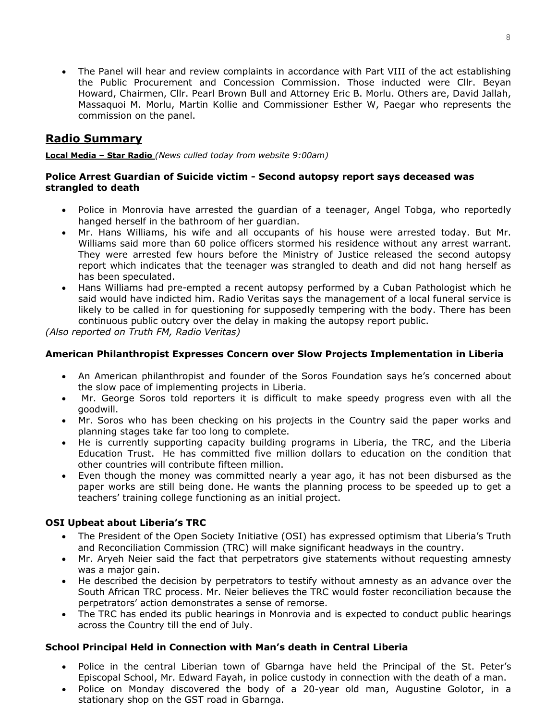• The Panel will hear and review complaints in accordance with Part VIII of the act establishing the Public Procurement and Concession Commission. Those inducted were Cllr. Beyan Howard, Chairmen, Cllr. Pearl Brown Bull and Attorney Eric B. Morlu. Others are, David Jallah, Massaquoi M. Morlu, Martin Kollie and Commissioner Esther W, Paegar who represents the commission on the panel.

## **Radio Summary**

**Local Media – Star Radio** *(News culled today from website 9:00am)* 

#### **Police Arrest Guardian of Suicide victim - Second autopsy report says deceased was strangled to death**

- Police in Monrovia have arrested the guardian of a teenager, Angel Tobga, who reportedly hanged herself in the bathroom of her guardian.
- Mr. Hans Williams, his wife and all occupants of his house were arrested today. But Mr. Williams said more than 60 police officers stormed his residence without any arrest warrant. They were arrested few hours before the Ministry of Justice released the second autopsy report which indicates that the teenager was strangled to death and did not hang herself as has been speculated.
- Hans Williams had pre-empted a recent autopsy performed by a Cuban Pathologist which he said would have indicted him. Radio Veritas says the management of a local funeral service is likely to be called in for questioning for supposedly tempering with the body. There has been continuous public outcry over the delay in making the autopsy report public.

*(Also reported on Truth FM, Radio Veritas)* 

## **American Philanthropist Expresses Concern over Slow Projects Implementation in Liberia**

- An American philanthropist and founder of the Soros Foundation says he's concerned about the slow pace of implementing projects in Liberia.
- Mr. George Soros told reporters it is difficult to make speedy progress even with all the goodwill.
- Mr. Soros who has been checking on his projects in the Country said the paper works and planning stages take far too long to complete.
- He is currently supporting capacity building programs in Liberia, the TRC, and the Liberia Education Trust. He has committed five million dollars to education on the condition that other countries will contribute fifteen million.
- Even though the money was committed nearly a year ago, it has not been disbursed as the paper works are still being done. He wants the planning process to be speeded up to get a teachers' training college functioning as an initial project.

## **OSI Upbeat about Liberia's TRC**

- The President of the Open Society Initiative (OSI) has expressed optimism that Liberia's Truth and Reconciliation Commission (TRC) will make significant headways in the country.
- Mr. Aryeh Neier said the fact that perpetrators give statements without requesting amnesty was a major gain.
- He described the decision by perpetrators to testify without amnesty as an advance over the South African TRC process. Mr. Neier believes the TRC would foster reconciliation because the perpetrators' action demonstrates a sense of remorse.
- The TRC has ended its public hearings in Monrovia and is expected to conduct public hearings across the Country till the end of July.

## **School Principal Held in Connection with Man's death in Central Liberia**

- Police in the central Liberian town of Gbarnga have held the Principal of the St. Peter's Episcopal School, Mr. Edward Fayah, in police custody in connection with the death of a man.
- Police on Monday discovered the body of a 20-year old man, Augustine Golotor, in a stationary shop on the GST road in Gbarnga.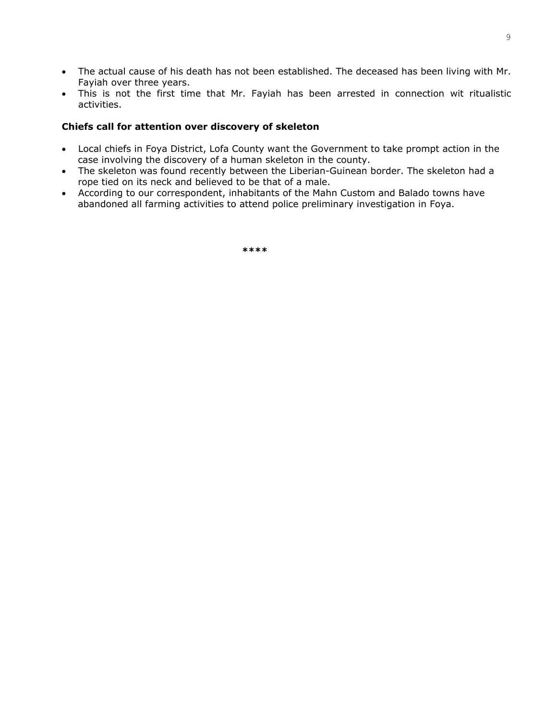- The actual cause of his death has not been established. The deceased has been living with Mr. Fayiah over three years.
- This is not the first time that Mr. Fayiah has been arrested in connection wit ritualistic activities.

#### **Chiefs call for attention over discovery of skeleton**

- Local chiefs in Foya District, Lofa County want the Government to take prompt action in the case involving the discovery of a human skeleton in the county.
- The skeleton was found recently between the Liberian-Guinean border. The skeleton had a rope tied on its neck and believed to be that of a male.
- According to our correspondent, inhabitants of the Mahn Custom and Balado towns have abandoned all farming activities to attend police preliminary investigation in Foya.

**\*\*\*\***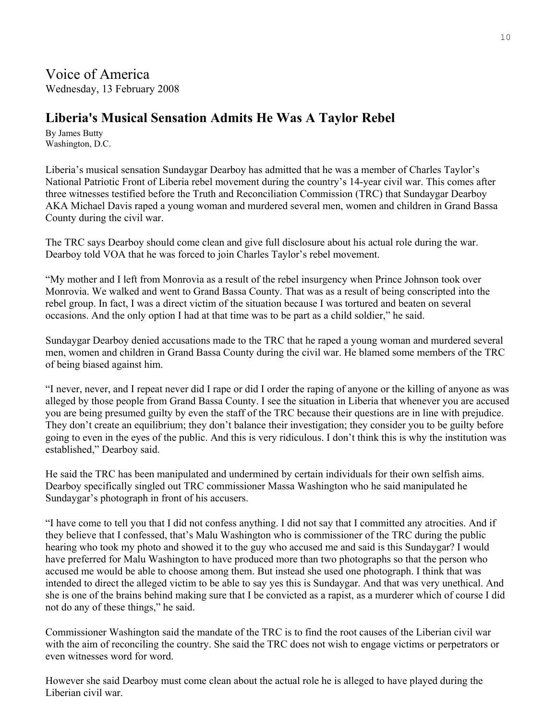# **Liberia's Musical Sensation Admits He Was A Taylor Rebel**

By James Butty Washington, D.C.

Liberia's musical sensation Sundaygar Dearboy has admitted that he was a member of Charles Taylor's National Patriotic Front of Liberia rebel movement during the country's 14-year civil war. This comes after three witnesses testified before the Truth and Reconciliation Commission (TRC) that Sundaygar Dearboy AKA Michael Davis raped a young woman and murdered several men, women and children in Grand Bassa County during the civil war.

The TRC says Dearboy should come clean and give full disclosure about his actual role during the war. Dearboy told VOA that he was forced to join Charles Taylor's rebel movement.

"My mother and I left from Monrovia as a result of the rebel insurgency when Prince Johnson took over Monrovia. We walked and went to Grand Bassa County. That was as a result of being conscripted into the rebel group. In fact, I was a direct victim of the situation because I was tortured and beaten on several occasions. And the only option I had at that time was to be part as a child soldier," he said.

Sundaygar Dearboy denied accusations made to the TRC that he raped a young woman and murdered several men, women and children in Grand Bassa County during the civil war. He blamed some members of the TRC of being biased against him.

"I never, never, and I repeat never did I rape or did I order the raping of anyone or the killing of anyone as was alleged by those people from Grand Bassa County. I see the situation in Liberia that whenever you are accused you are being presumed guilty by even the staff of the TRC because their questions are in line with prejudice. They don't create an equilibrium; they don't balance their investigation; they consider you to be guilty before going to even in the eyes of the public. And this is very ridiculous. I don't think this is why the institution was established," Dearboy said.

He said the TRC has been manipulated and undermined by certain individuals for their own selfish aims. Dearboy specifically singled out TRC commissioner Massa Washington who he said manipulated he Sundaygar's photograph in front of his accusers.

"I have come to tell you that I did not confess anything. I did not say that I committed any atrocities. And if they believe that I confessed, that's Malu Washington who is commissioner of the TRC during the public hearing who took my photo and showed it to the guy who accused me and said is this Sundaygar? I would have preferred for Malu Washington to have produced more than two photographs so that the person who accused me would be able to choose among them. But instead she used one photograph. I think that was intended to direct the alleged victim to be able to say yes this is Sundaygar. And that was very unethical. And she is one of the brains behind making sure that I be convicted as a rapist, as a murderer which of course I did not do any of these things," he said.

Commissioner Washington said the mandate of the TRC is to find the root causes of the Liberian civil war with the aim of reconciling the country. She said the TRC does not wish to engage victims or perpetrators or even witnesses word for word.

However she said Dearboy must come clean about the actual role he is alleged to have played during the Liberian civil war.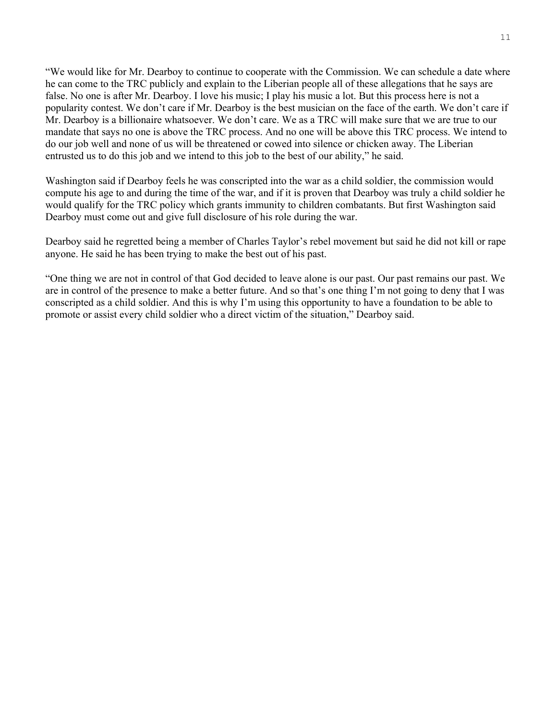"We would like for Mr. Dearboy to continue to cooperate with the Commission. We can schedule a date where he can come to the TRC publicly and explain to the Liberian people all of these allegations that he says are false. No one is after Mr. Dearboy. I love his music; I play his music a lot. But this process here is not a popularity contest. We don't care if Mr. Dearboy is the best musician on the face of the earth. We don't care if Mr. Dearboy is a billionaire whatsoever. We don't care. We as a TRC will make sure that we are true to our mandate that says no one is above the TRC process. And no one will be above this TRC process. We intend to do our job well and none of us will be threatened or cowed into silence or chicken away. The Liberian entrusted us to do this job and we intend to this job to the best of our ability," he said.

Washington said if Dearboy feels he was conscripted into the war as a child soldier, the commission would compute his age to and during the time of the war, and if it is proven that Dearboy was truly a child soldier he would qualify for the TRC policy which grants immunity to children combatants. But first Washington said Dearboy must come out and give full disclosure of his role during the war.

Dearboy said he regretted being a member of Charles Taylor's rebel movement but said he did not kill or rape anyone. He said he has been trying to make the best out of his past.

"One thing we are not in control of that God decided to leave alone is our past. Our past remains our past. We are in control of the presence to make a better future. And so that's one thing I'm not going to deny that I was conscripted as a child soldier. And this is why I'm using this opportunity to have a foundation to be able to promote or assist every child soldier who a direct victim of the situation," Dearboy said.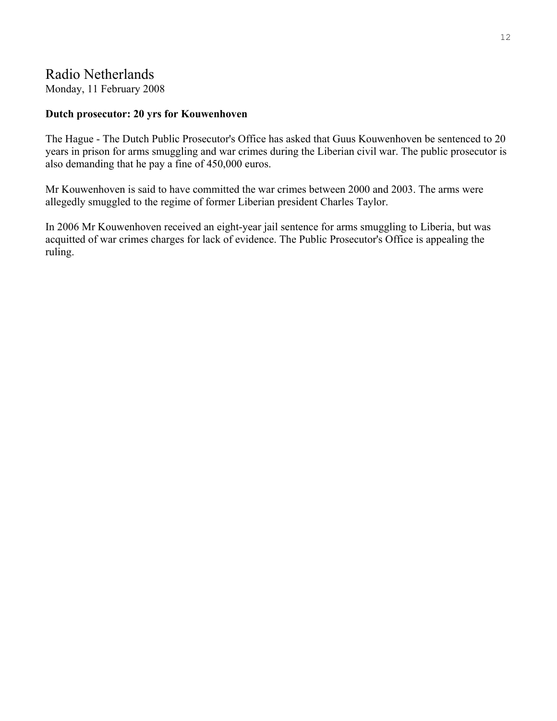# Radio Netherlands

Monday, 11 February 2008

## **Dutch prosecutor: 20 yrs for Kouwenhoven**

The Hague - The Dutch Public Prosecutor's Office has asked that Guus Kouwenhoven be sentenced to 20 years in prison for arms smuggling and war crimes during the Liberian civil war. The public prosecutor is also demanding that he pay a fine of 450,000 euros.

Mr Kouwenhoven is said to have committed the war crimes between 2000 and 2003. The arms were allegedly smuggled to the regime of former Liberian president Charles Taylor.

In 2006 Mr Kouwenhoven received an eight-year jail sentence for arms smuggling to Liberia, but was acquitted of war crimes charges for lack of evidence. The Public Prosecutor's Office is appealing the ruling.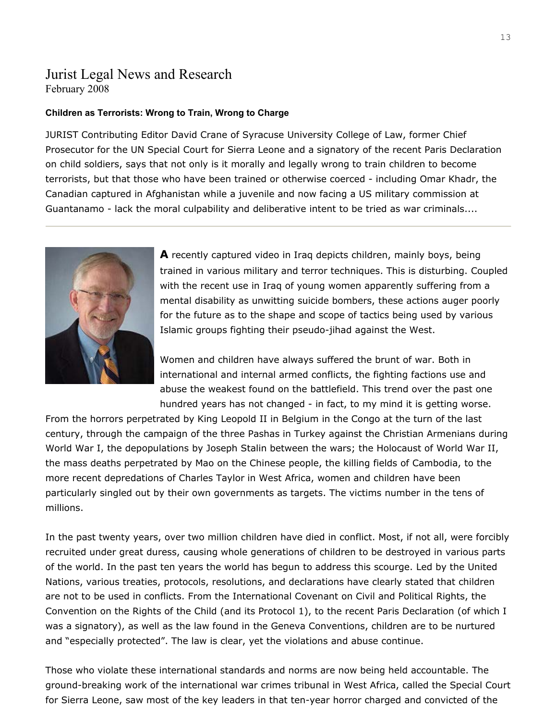## Jurist Legal News and Research February 2008

#### **Children as Terrorists: Wrong to Train, Wrong to Charge**

JURIST Contributing Editor David Crane of Syracuse University College of Law, former Chief Prosecutor for the UN Special Court for Sierra Leone and a signatory of the recent Paris Declaration on child soldiers, says that not only is it morally and legally wrong to train children to become terrorists, but that those who have been trained or otherwise coerced - including Omar Khadr, the Canadian captured in Afghanistan while a juvenile and now facing a US military commission at Guantanamo - lack the moral culpability and deliberative intent to be tried as war criminals....



**A** recently captured video in Iraq depicts children, mainly boys, being trained in various military and terror techniques. This is disturbing. Coupled with the recent use in Iraq of young women apparently suffering from a mental disability as unwitting suicide bombers, these actions auger poorly for the future as to the shape and scope of tactics being used by various Islamic groups fighting their pseudo-jihad against the West.

Women and children have always suffered the brunt of war. Both in international and internal armed conflicts, the fighting factions use and abuse the weakest found on the battlefield. This trend over the past one hundred years has not changed - in fact, to my mind it is getting worse.

From the horrors perpetrated by King Leopold II in Belgium in the Congo at the turn of the last century, through the campaign of the three Pashas in Turkey against the Christian Armenians during World War I, the depopulations by Joseph Stalin between the wars; the Holocaust of World War II, the mass deaths perpetrated by Mao on the Chinese people, the killing fields of Cambodia, to the more recent depredations of Charles Taylor in West Africa, women and children have been particularly singled out by their own governments as targets. The victims number in the tens of millions.

In the past twenty years, over two million children have died in conflict. Most, if not all, were forcibly recruited under great duress, causing whole generations of children to be destroyed in various parts of the world. In the past ten years the world has begun to address this scourge. Led by the United Nations, various treaties, protocols, resolutions, and declarations have clearly stated that children are not to be used in conflicts. From the International Covenant on Civil and Political Rights, the Convention on the Rights of the Child (and its Protocol 1), to the recent Paris Declaration (of which I was a signatory), as well as the law found in the Geneva Conventions, children are to be nurtured and "especially protected". The law is clear, yet the violations and abuse continue.

Those who violate these international standards and norms are now being held accountable. The ground-breaking work of the international war crimes tribunal in West Africa, called the Special Court for Sierra Leone, saw most of the key leaders in that ten-year horror charged and convicted of the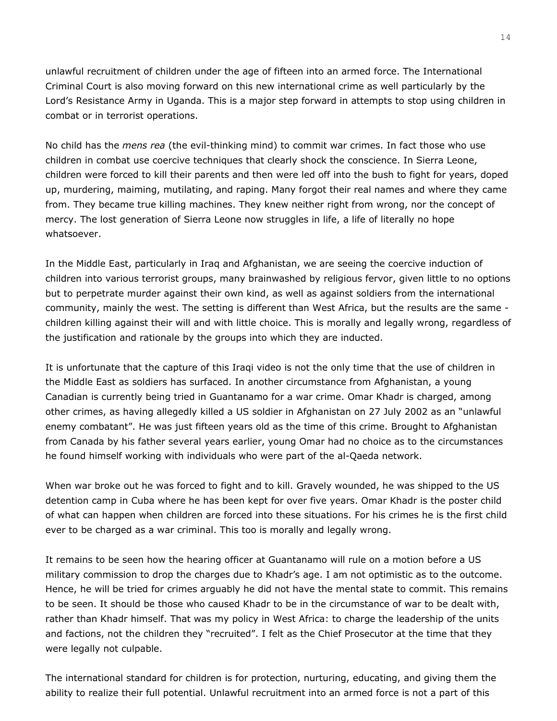unlawful recruitment of children under the age of fifteen into an armed force. The International Criminal Court is also moving forward on this new international crime as well particularly by the Lord's Resistance Army in Uganda. This is a major step forward in attempts to stop using children in combat or in terrorist operations.

No child has the *mens rea* (the evil-thinking mind) to commit war crimes. In fact those who use children in combat use coercive techniques that clearly shock the conscience. In Sierra Leone, children were forced to kill their parents and then were led off into the bush to fight for years, doped up, murdering, maiming, mutilating, and raping. Many forgot their real names and where they came from. They became true killing machines. They knew neither right from wrong, nor the concept of mercy. The lost generation of Sierra Leone now struggles in life, a life of literally no hope whatsoever.

In the Middle East, particularly in Iraq and Afghanistan, we are seeing the coercive induction of children into various terrorist groups, many brainwashed by religious fervor, given little to no options but to perpetrate murder against their own kind, as well as against soldiers from the international community, mainly the west. The setting is different than West Africa, but the results are the same children killing against their will and with little choice. This is morally and legally wrong, regardless of the justification and rationale by the groups into which they are inducted.

It is unfortunate that the capture of this Iraqi video is not the only time that the use of children in the Middle East as soldiers has surfaced. In another circumstance from Afghanistan, a young Canadian is currently being tried in Guantanamo for a war crime. Omar Khadr is charged, among other crimes, as having allegedly killed a US soldier in Afghanistan on 27 July 2002 as an "unlawful enemy combatant". He was just fifteen years old as the time of this crime. Brought to Afghanistan from Canada by his father several years earlier, young Omar had no choice as to the circumstances he found himself working with individuals who were part of the al-Qaeda network.

When war broke out he was forced to fight and to kill. Gravely wounded, he was shipped to the US detention camp in Cuba where he has been kept for over five years. Omar Khadr is the poster child of what can happen when children are forced into these situations. For his crimes he is the first child ever to be charged as a war criminal. This too is morally and legally wrong.

It remains to be seen how the hearing officer at Guantanamo will rule on a motion before a US military commission to drop the charges due to Khadr's age. I am not optimistic as to the outcome. Hence, he will be tried for crimes arguably he did not have the mental state to commit. This remains to be seen. It should be those who caused Khadr to be in the circumstance of war to be dealt with, rather than Khadr himself. That was my policy in West Africa: to charge the leadership of the units and factions, not the children they "recruited". I felt as the Chief Prosecutor at the time that they were legally not culpable.

The international standard for children is for protection, nurturing, educating, and giving them the ability to realize their full potential. Unlawful recruitment into an armed force is not a part of this